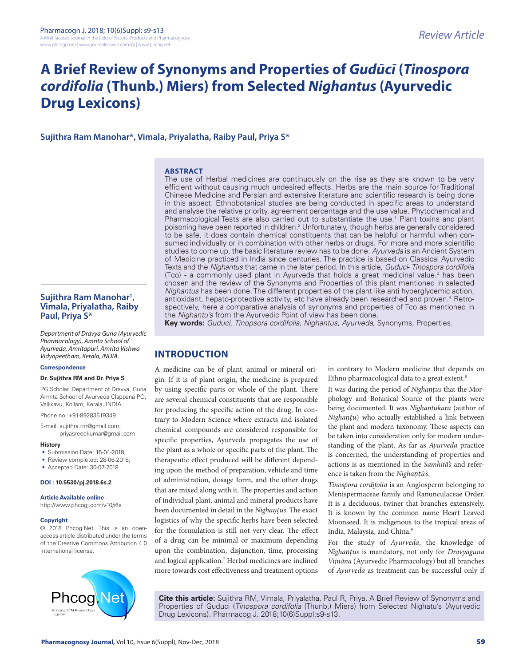# **A Brief Review of Synonyms and Properties of** *Gudūcī* **(***Tinospora cordifolia* **(Thunb.) Miers) from Selected** *Nighantus* **(Ayurvedic Drug Lexicons)**

## **Sujithra Ram Manohar\*, Vimala, Priyalatha, Raiby Paul, Priya S\***

#### **ABSTRACT**

The use of Herbal medicines are continuously on the rise as they are known to be very efficient without causing much undesired effects. Herbs are the main source for Traditional Chinese Medicine and Persian and extensive literature and scientific research is being done in this aspect. Ethnobotanical studies are being conducted in specific areas to understand and analyse the relative priority, agreement percentage and the use value. Phytochemical and Pharmacological Tests are also carried out to substantiate the use.<sup>1</sup> Plant toxins and plant poisoning have been reported in children.<sup>2</sup> Unfortunately, though herbs are generally considered to be safe, it does contain chemical constituents that can be helpful or harmful when consumed individually or in combination with other herbs or drugs. For more and more scientific studies to come up, the basic literature review has to be done. *Ayurveda* is an Ancient System of Medicine practiced in India since centuries. The practice is based on Classical Ayurvedic Texts and the *Nighantus* that came in the later period. In this article, *Guduci*- *Tinospora cordifolia*  (Tco) - a commonly used plant in Ayurveda that holds a great medicinal value.<sup>3</sup> has been chosen and the review of the Synonyms and Properties of this plant mentioned in selected *Nighantus* has been done. The different properties of the plant like anti hyperglycemic action, antioxidant, hepato-protective activity, etc have already been researched and proven.<sup>4</sup> Retrospectively, here a comparative analysis of synonyms and properties of Tco as mentioned in the *Nighantu's* from the Ayurvedic Point of view has been done.

**Key words:** *Guduci, Tinopsora cordifolia, Nighantus*, *Ayurveda*, Synonyms, Properties.

## **INTRODUCTION**

A medicine can be of plant, animal or mineral origin. If it is of plant origin, the medicine is prepared by using specific parts or whole of the plant. There are several chemical constituents that are responsible for producing the specific action of the drug. In contrary to Modern Science where extracts and isolated chemical compounds are considered responsible for specific properties, Ayurveda propagates the use of the plant as a whole or specific parts of the plant. The therapeutic effect produced will be different depending upon the method of preparation, vehicle and time of administration, dosage form, and the other drugs that are mixed along with it. The properties and action of individual plant, animal and mineral products have been documented in detail in the *Nighaṇṭus*. The exact logistics of why the specific herbs have been selected for the formulation is still not very clear. The effect of a drug can be minimal or maximum depending upon the combination, disjunction, time, processing and logical application.7 Herbal medicines are inclined more towards cost effectiveness and treatment options

in contrary to Modern medicine that depends on Ethno pharmacological data to a great extent.<sup>8</sup>

It was during the period of *Nighaṇṭus* that the Morphology and Botanical Source of the plants were being documented. It was *Nighantukara* (author of *Nighaṇṭu*) who actually established a link between the plant and modern taxonomy. These aspects can be taken into consideration only for modern understanding of the plant. As far as *Ayurveda* practice is concerned, the understanding of properties and actions is as mentioned in the *Samhitā's* and reference is taken from the *Nighaṇṭū's*.

*Tinospora cordifolia* is an Angiosperm belonging to Menispermaceae family and Ranunculaceae Order. It is a deciduous, twiner that branches extensively. It is known by the common name Heart Leaved Moonseed. It is indigenous to the tropical areas of India, Malaysia, and China.9

For the study of *Ayurveda*, the knowledge of *Nighaṇṭus* is mandatory, not only for *Dravyaguna Vijnāna* (Ayurvedic Pharmacology) but all branches of *Ayurveda* as treatment can be successful only if

**Cite this article:** Sujithra RM, Vimala, Priyalatha, Paul R, Priya. A Brief Review of Synonyms and Properties of Guduci (*Tinospora cordifolia* (Thunb.) Miers) from Selected Nighatu's (Ayurvedic Drug Lexicons). Pharmacog J. 2018;10(6)Suppl:s9-s13.

### **Sujithra Ram Manohar1 , Vimala, Priyalatha, Raiby Paul, Priya S\***

*Department of Dravya Guna (Ayurvedic Pharmacology), Amrita School of Ayurveda, Amritapuri, Amrita Vishwa Vidyapeetham, Kerala, INDIA.*

#### **Correspondence**

#### **Dr. Sujithra RM and Dr. Priya S**

PG Scholar. Department of Dravya, Guna Amrita School of Ayurveda Clappana PO, Vallikavu, Kollam, Kerala, INDIA.

Phone no :+91-89283519349

E-mail: sujithra.rm@gmail.com; priyasreeekumar@gmail.com

#### **History**

- Submission Date: 16-04-2018;
- Review completed: 28-06-2018;
- Accepted Date: 30-07-2018

#### **DOI : 10.5530/pj.2018.6s.2**

## **Article Available online**

http://www.phcogj.com/v10/i6s

#### **Copyright**

© 2018 Phcog.Net. This is an openaccess article distributed under the terms of the Creative Commons Attribution 4.0 International license.

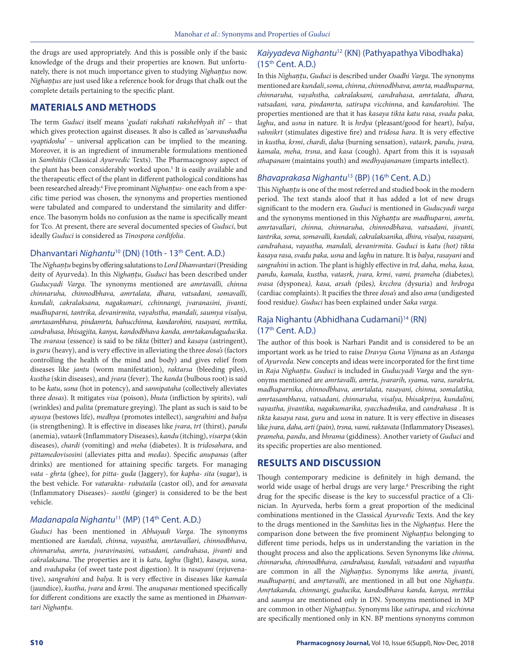the drugs are used appropriately. And this is possible only if the basic knowledge of the drugs and their properties are known. But unfortunately, there is not much importance given to studying *Nighantus* now. *Nighaṇṭus* are just used like a reference book for drugs that chalk out the complete details pertaining to the specific plant.

## **MATERIALS AND METHODS**

The term *Guduci* itself means '*gudati rakshati rakshebhyah iti*' – that which gives protection against diseases. It also is called as '*sarvaushadha vyaptidosha*' – universal application can be implied to the meaning. Moreover, it is an ingredient of innumerable formulations mentioned in *Samhitās* (Classical *Ayurvedic* Texts). The Pharmacognosy aspect of the plant has been considerably worked upon.<sup>5</sup> It is easily available and the therapeutic effect of the plant in different pathological conditions has been researched already.6 Five prominant *Nighaṇṭus*- one each from a specific time period was chosen, the synonyms and properties mentioned were tabulated and compared to understand the similarity and difference. The basonym holds no confusion as the name is specifically meant for Tco. At present, there are several documented species of *Guduci*, but ideally *Guduci* is considered as *Tinospora cordifolia*.

## Dhanvantari *Nighantu<sup>10</sup>* (DN) (10th - 13<sup>th</sup> Cent. A.D.)

The *Nighaṇṭu* begins by offering salutations to *Lord Dhanvantari* (Presiding deity of Ayurveda). In this *Nighaṇṭu*, *Guduci* has been described under *Guducyadi Varga*. The synonyms mentioned are *amrtavalli, chinna chinnaruha, chinnodbhava, amrtalata, dhara, vatsadani, somavalli, kundali, cakralaksana, nagakumari, cchinnangi, jvaranasini, jivanti, madhuparni, tantrika, devanirmita, vayahstha, mandali, saumya visalya, amrtasambhava, pindamrta, bahucchinna, kandarohini, rasayani, mrttika, candrahasa, bhisagjita, kanya, kandodbhava kanda, amrtakandaguducika*. The *svarasa* (essence) is said to be *tikta* (bitter) and *kasaya* (astringent), is *guru* (heavy), and is very effective in alleviating the three *dosa's* (factors controlling the health of the mind and body) and gives relief from diseases like *jantu* (worm manifestation), *raktarsa* (bleeding piles), *kustha* (skin diseases), and *jvara* (fever). The *kanda* (bulbous root) is said to be *katu*, *usna* (hot in potency), and *sannipataha* (collectively alleviates three *dosas*). It mitigates *visa* (poison), *bhuta* (infliction by spirits), *vali* (wrinkles) and *palita* (premature greying). The plant as such is said to be *ayusya* (bestows life), *medhya* (promotes intellect), *sangrahini* and *balya* (is strengthening). It is effective in diseases like *jvara*, *trt* (thirst), *pandu* (anemia), *vatasrk* (Inflammatory Diseases), *kandu* (itching), *visarpa* (skin diseases), *chardi* (vomiting) and *meha* (diabetes). It is *tridosahara*, and *pittamedovisosini* (alleviates pitta and *medas*). Specific *anupanas* (after drinks) are mentioned for attaining specific targets. For managing *vata - ghrta* (ghee), for *pitta- guda* (Jaggery), for *kapha- sita* (sugar), is the best vehicle. For *vatarakta*- *rubutaila* (castor oil), and for *amavata* (Inflammatory Diseases)- *sunthi* (ginger) is considered to be the best vehicle.

#### *Madanapala Nighantu*11 (MP) (14th Cent. A.D.)

*Guduci* has been mentioned in *Abhayadi Varga*. The synonyms mentioned are *kundali, chinna*, *vayastha, amrtavallari, chinnodbhava, chinnaruha, amrta, jvaravinasini, vatsadani, candrahasa*, *jivanti* and *cakralaksana*. The properties are it is *katu*, *laghu* (light), *kasaya*, *usna*, and *svadupaka* (of sweet taste post digestion). It is *rasayani* (rejuvenative), *sangrahini* and *balya*. It is very effective in diseases like *kamala* (jaundice), *kustha*, *jvara* and *krmi*. The *anupanas* mentioned specifically for different conditions are exactly the same as mentioned in *Dhanvantari Nighaṇṭu*.

## *Kaiyyadeva Nighantu*12 (KN) (Pathyapathya Vibodhaka)  $(15<sup>th</sup> Cent. A.D.)$

In this *Nighaṇṭu*, *Guduci* is described under *Osadhi Varga*. The synonyms mentioned are *kundali*, *soma, chinna, chinnodbhava, amrta, madhuparna, chinnaruha, vayahstha, cakralaksani, candrahasa*, *amrtalata, dhara, vatsadani, vara, pindamrta, satirupa vicchinna*, and *kandarohini*. The properties mentioned are that it has *kasaya tikta katu rasa, svadu paka, laghu*, and *usna* in nature. It is *hrdya* (pleasant/good for heart), *balya*, *vahnikrt* (stimulates digestive fire) and *tridosa hara*. It is very effective in *kustha, krmi*, *chardi*, *daha* (burning sensation), *vatasrk, pandu, jvara, kamala, meha, trsna*, and *kasa* (cough). Apart from this it is *vayasah sthapanam* (maintains youth) and *medhyajananam* (imparts intellect).

## *Bhavaprakasa Nighantu*13 (BP) (16th Cent. A.D.)

This *Nighaṇṭu* is one of the most referred and studied book in the modern period. The text stands aloof that it has added a lot of new drugs significant to the modern era. *Guduci* is mentioned in *Guducyadi varga* and the synonyms mentioned in this *Nighaṇṭu* are *madhuparni, amrta, amrtavallari*, *chinna, chinnaruha, chinnodbhava, vatsadani, jivanti, tantrika, soma, somavalli, kundali, cakralaksanika, dhira, visalya, rasayani, candrahasa, vayastha, mandali, devanirmita*. *Guduci* is *katu (hot) tikta kasaya rasa, svadu paka, usna* and *laghu* in nature. It is *balya*, *rasayani* and *sangrahini* in action. The plant is highly effective in *trd, daha, meha, kasa, pandu, kamala, kustha, vatasrk, jvara, krmi*, *vami, prameha (*diabetes*), svasa (*dysponea*), kasa, arsah (*piles*), krcchra (*dysuria) and *hrdroga*  (cardiac complaints). It pacifies the three *dosa's* and also *ama* (undigested food residue*)*. *Guduci* has been explained under *Saka varga.* 

### Raja Nighantu (Abhidhana Cudamani)14 (RN) (17th Cent. A.D.)

The author of this book is Narhari Pandit and is considered to be an important work as he tried to raise *Dravya Guna Vijnana* as an *Astanga* of *Ayurveda*. New concepts and ideas were incorporated for the first time in *Raja Nighaṇṭu*. *Guduci* is included in *Guducyadi Varga* and the synonyms mentioned are *amrtavalli, amrta, jvararih, syama, vara, surakrta, madhuparnika, chinnodbhava, amrtalata, rasayani, chinna, somalatika, amrtasambhava, vatsadani, chinnaruha, visalya, bhisakpriya, kundalini, vayastha, jivantika, nagakumarika, syacchadmika*, and *candrahasa* . It is *tikta kasaya rasa, guru* and *usna* in nature. It is very effective in diseases like *jvara, daha, arti (pain), trsna, vami, raktavata* (Inflammatory Diseases)*, prameha, pandu*, and *bhrama* (giddiness). Another variety of *Guduci* and its specific properties are also mentioned.

## **RESULTS AND DISCUSSION**

Though contemporary medicine is definitely in high demand, the world wide usage of herbal drugs are very large.<sup>8</sup> Prescribing the right drug for the specific disease is the key to successful practice of a Clinician. In Ayurveda, herbs form a great proportion of the medicinal combinations mentioned in the Classical *Ayurvedic* Texts. And the key to the drugs mentioned in the *Samhitas* lies in the *Nighaṇṭus*. Here the comparison done between the five prominent *Nighaṇṭus* belonging to different time periods, helps us in understanding the variation in the thought process and also the applications. Seven Synonyms like *chinna, chinnaruha, chinnodbhava, candrahasa, kundali, vatsadani* and *vayastha* are common in all the *Nighaṇṭus*. Synonyms like *amrta, jivanti, madhuparṇi,* and *amṛtavalli*, are mentioned in all but one *Nighaṇṭu*. *Amṛtakanda, chinnangi, guducika, kandodbhava kanda, kanya, mrttika* and *saumya* are mentioned only in DN. Synonyms mentioned in MP are common in other *Nighaṇṭus*. Synonyms like *satirupa*, and *vicchinna* are specifically mentioned only in KN. BP mentions synonyms common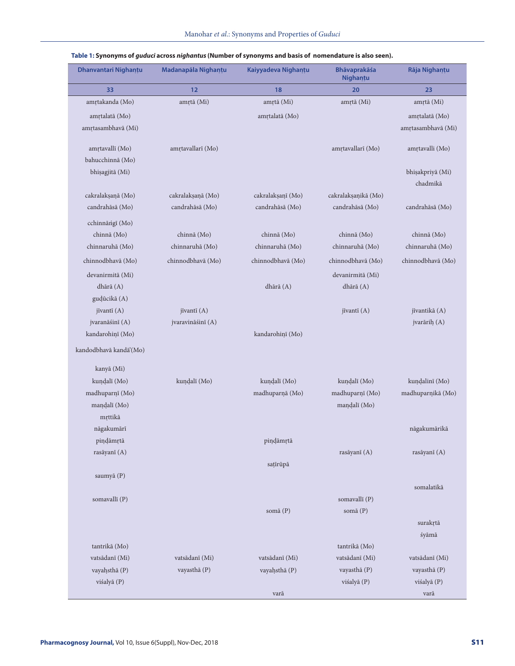| <b>Dhanvantari Nighantu</b> | Madanapāla Nighanțu | Kaiyyadeva Nighantu | Bhāvaprakāśa<br>Nighantu | Rāja Nighantu      |
|-----------------------------|---------------------|---------------------|--------------------------|--------------------|
| 33                          | 12                  | 18                  | 20                       | 23                 |
| amrtakanda (Mo)             | amrtā (Mi)          | amrtā (Mi)          | amrtā (Mi)               | amrtā (Mi)         |
| amrtalatā (Mo)              |                     | amrtalatā (Mo)      |                          | amrtalatā (Mo)     |
| amrtasambhavā (Mi)          |                     |                     |                          | amrtasambhavā (Mi) |
| amrtavallī (Mo)             | amrtavallarī (Mo)   |                     | amrtavallarī (Mo)        | amrtavalli (Mo)    |
| bahucchinnā (Mo)            |                     |                     |                          |                    |
| bhisagjitā (Mi)             |                     |                     |                          | bhisakpriyā (Mi)   |
|                             |                     |                     |                          | chadmikā           |
| cakralaksanā (Mo)           | cakralakṣaṇā (Mo)   | cakralakṣaṇī (Mo)   | cakralaksanikā (Mo)      |                    |
| candrahāsā (Mo)             | candrahāsā (Mo)     | candrahāsā (Mo)     | candrahāsā (Mo)          | candrahāsā (Mo)    |
| cchinnāngī (Mo)             |                     |                     |                          |                    |
| chinnā (Mo)                 | chinnā (Mo)         | chinnā (Mo)         | chinnā (Mo)              | chinnā (Mo)        |
| chinnaruhā (Mo)             | chinnaruhā (Mo)     | chinnaruhā (Mo)     | chinnaruhā (Mo)          | chinnaruhā (Mo)    |
| chinnodbhavā (Mo)           | chinnodbhavā (Mo)   | chinnodbhavā (Mo)   | chinnodbhavā (Mo)        | chinnodbhavā (Mo)  |
| devanirmitā (Mi)            |                     |                     | devanirmitā (Mi)         |                    |
| dhārā (A)                   |                     | dhārā (A)           | dhārā (A)                |                    |
| gudūcikā (A)                |                     |                     |                          |                    |
| jīvantī (A)                 | jīvantī (A)         |                     | jīvantī (A)              | jīvantikā (A)      |
| jvaranāśinī (A)             | jvaravināśinī (A)   |                     |                          | jvarārih (A)       |
| kandarohinī (Mo)            |                     | kandarohinī (Mo)    |                          |                    |
| kandodbhavā kandā'(Mo)      |                     |                     |                          |                    |
| kanyā (Mi)                  |                     |                     |                          |                    |
| kundalī (Mo)                | kundalī (Mo)        | kundalī (Mo)        | kundalī (Mo)             | kundalinī (Mo)     |
| madhuparnī (Mo)             |                     | madhuparnā (Mo)     | madhuparnī (Mo)          | madhuparnikā (Mo)  |
| mandalī (Mo)                |                     |                     | mandalī (Mo)             |                    |
| mrttikā                     |                     |                     |                          |                    |
| nāgakumārī                  |                     |                     |                          | nāgakumārikā       |
| pindāmrtā                   |                     | pindāmrtā           |                          |                    |
| rasāyanī (A)                |                     |                     | rasāyanī (A)             | rasāyanī (A)       |
|                             |                     | satīrūpā            |                          |                    |
| saumyā (P)                  |                     |                     |                          | somalatikā         |
| somavallī (P)               |                     |                     | somavallī (P)            |                    |
|                             |                     | somā (P)            | somā (P)                 |                    |
|                             |                     |                     |                          | surakrtā           |
|                             |                     |                     |                          | śyāmā              |
| tantrikā (Mo)               |                     |                     | tantrikā (Mo)            |                    |
| vatsādanī (Mi)              | vatsādanī (Mi)      | vatsādanī (Mi)      | vatsādanī (Mi)           | vatsādanī (Mi)     |
| vayahsthā (P)               | vayasthā (P)        | vayahsthā (P)       | vayasthā (P)             | vayasthā (P)       |
| viśalyā (P)                 |                     |                     | viśalyā (P)              | viśalyā (P)        |
|                             |                     | varā                |                          | varā               |

#### **Table 1: Synonyms of** *guduci* **across** *nighantus* **(Number of synonyms and basis of nomendature is also seen).**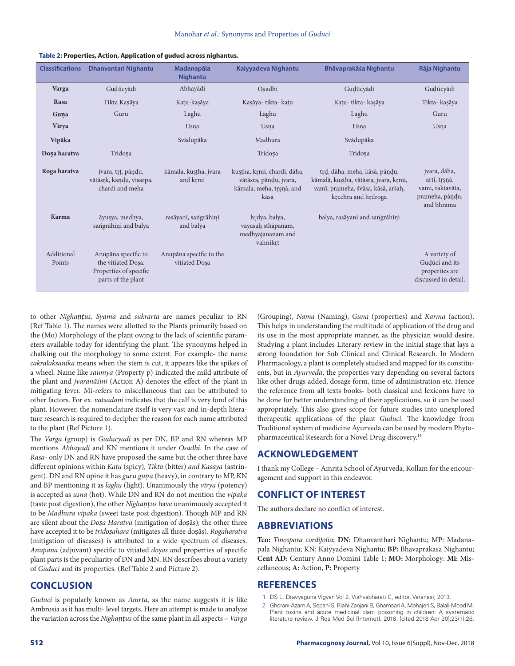| <b>Classifications</b> | <b>Dhanvantari Nighantu</b>                                                               | Madanapāla<br><b>Nighantu</b>            | Kaiyyadeva Nighantu                                                                       | <b>Bhāvaprakāśa Nighantu</b>                                                                                                        | Rāja Nighantu                                                                     |
|------------------------|-------------------------------------------------------------------------------------------|------------------------------------------|-------------------------------------------------------------------------------------------|-------------------------------------------------------------------------------------------------------------------------------------|-----------------------------------------------------------------------------------|
| Varga                  | Gudūcyādi                                                                                 | Abhayādi                                 | Osadhi                                                                                    | Gudūcyādi                                                                                                                           | Gudūcyādi                                                                         |
| Rasa                   | Tikta Kaşāya                                                                              | Katu-kasāya                              | Kasāya- tikta- katu                                                                       | Katu- tikta- kasāya                                                                                                                 | Tikta- kasāya                                                                     |
| Guna                   | Guru                                                                                      | Laghu                                    | Laghu                                                                                     | Laghu                                                                                                                               | Guru                                                                              |
| Virya                  |                                                                                           | Usna                                     | Usna                                                                                      | Usna                                                                                                                                | Usna                                                                              |
| Vipāka                 |                                                                                           | Svādupāka                                | Madhura                                                                                   | Svādupāka                                                                                                                           |                                                                                   |
| Dosa haratva           | Tridosa                                                                                   |                                          | Tridosa                                                                                   | Tridosa                                                                                                                             |                                                                                   |
| Roga haratva           | jvara, trt, pāndu,<br>vātāsrk, kandu, visarpa,<br>chardi and meha                         | kāmala, kustha, jvara<br>and krmi        | kustha, krmi, chardi, dāha,<br>vātāsra, pāndu, jvara,<br>kāmala, meha, trsnā, and<br>kāsa | trd, dāha, meha, kāsā, pāndu,<br>kāmalā, kustha, vātāsra, jvara, krmi,<br>vamī, prameha, śvāsa, kāsā, arśaḥ,<br>krcchra and hrdroga | jvara, dāha,<br>arti, trsnā,<br>vami, raktavāta,<br>prameha, pāndu,<br>and bhrama |
| <b>Karma</b>           | āyusya, medhya,<br>sangrāhinī and balya                                                   | rasāyani, sangrāhini<br>and balya        | hrdya, balya,<br>vayasah sthāpanam,<br>medhyajananam and<br>vahnikrt                      | balya, rasāyani and sangrāhini                                                                                                      |                                                                                   |
| Additional<br>Points   | Anupāna specific to<br>the vitiated Dosa.<br>Properties of specific<br>parts of the plant | Anupāna specific to the<br>vitiated Dosa |                                                                                           |                                                                                                                                     | A variety of<br>Guduci and its<br>properties are<br>discussed in detail.          |

#### **Table 2: Properties, Action, Application of guduci across nighantus.**

to other *Nighaṇṭus*. *Syama* and *sukrarta* are names peculiar to RN (Ref Table 1). The names were allotted to the Plants primarily based on the (Mo) Morphology of the plant owing to the lack of scientific parameters available today for identifying the plant. The synonyms helped in chalking out the morphology to some extent. For example- the name *cakralaksanika* means when the stem is cut, it appears like the spikes of a wheel. Name like *saumya* (Property p) indicated the mild attribute of the plant and *jvaranāśini* (Action A) denotes the effect of the plant in mitigating fever. Mi-refers to miscellaneous that can be attributed to other factors. For ex. *vatsadani* indicates that the calf is very fond of this plant. However, the nomenclature itself is very vast and in-depth literature research is required to decipher the reason for each name attributed to the plant (Ref Picture 1).

The *Varga* (group) is *Guducyadi* as per DN, BP and RN whereas MP mentions *Abhayadi* and KN mentions it under *Osadhi*. In the case of *Rasa-* only DN and RN have proposed the same but the other three have different opinions within *Katu* (spicy)*, Tikta* (bitter) *and Kasaya* (astringent). DN and RN opine it has *guru guṇa* (heavy), in contrary to MP, KN and BP mentioning it as *laghu* (light). Unanimously the *vīrya* (potency) is accepted as *usna* (hot). While DN and RN do not mention the *vipaka*  (taste post digestion), the other *Nighaṇṭus* have unanimously accepted it to be *Madhura vipaka* (sweet taste post digestion). Though MP and RN are silent about the *Doṣa Haratva* (mitigation of doṣās)*,* the other three have accepted it to be *tridoṣahara* (mitigates all three doṣās)*. Rogaharatva* (mitigation of diseases) is attributed to a wide spectrum of diseases. *Anupana* (adjuvant) specific to vitiated *doṣas* and properties of specific plant parts is the peculiarity of DN and MN. RN describes about a variety of *Guduci* and its properties. (Ref Table 2 and Picture 2).

#### **CONCLUSION**

*Guduci* is popularly known as *Amrta*, as the name suggests it is like Ambrosia as it has multi- level targets. Here an attempt is made to analyze the variation across the *Nighaṇṭus* of the same plant in all aspects – *Varga* (Grouping), *Nama* (Naming), *Guna* (properties) and *Karma* (action). This helps in understanding the multitude of application of the drug and its use in the most appropriate manner, as the physician would desire. Studying a plant includes Literary review in the initial stage that lays a strong foundation for Sub Clinical and Clinical Research. In Modern Pharmacology, a plant is completely studied and mapped for its constituents, but in *Ayurveda*, the properties vary depending on several factors like other drugs added, dosage form, time of administration etc. Hence the reference from all texts books- both classical and lexicons have to be done for better understanding of their applications, so it can be used appropriately. This also gives scope for future studies into unexplored therapeutic applications of the plant *Guduci.* The knowledge from Traditional system of medicine Ayurveda can be used by modern Phytopharmaceutical Research for a Novel Drug discovery.15

## **ACKNOWLEDGEMENT**

I thank my College – Amrita School of Ayurveda, Kollam for the encouragement and support in this endeavor.

## **CONFLICT OF INTEREST**

The authors declare no conflict of interest.

#### **ABBREVIATIONS**

**Tco:** *Tinospora cordifolia*; **DN:** Dhanvanthari Nighantu; MP: Madanapala Nighantu; KN: Kaiyyadeva Nighantu; **BP:** Bhavaprakasa Nighantu; **Cent AD:** Century Anno Domini Table 1; **MO:** Morphology: **Mi:** Miscellaneous; **A:** Action, **P:** Property

#### **REFERENCES**

- 1. DS L. Dravyaguna Vigyan Vol 2. Vishvabharati C, editor. Varanasi; 2013.
- 2. Ghorani-Azam A, Sepahi S, Riahi-Zanjani B, Ghamsari A, Mohajeri S, Balali-Mood M. Plant toxins and acute medicinal plant poisoning in children: A systematic literature review. J Res Med Sci [Internet]. 2018. [cited 2018 Apr 30];23(1):26.